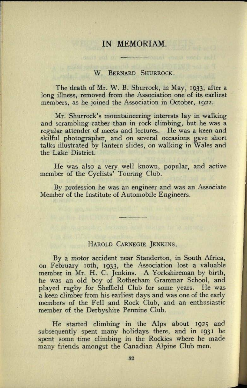# IN MEMORIAM.

#### W. BERNARD SHURROCK.

The death of Mr. W. B. Shurrock, in May, 1933, after <sup>a</sup> long illness, removed from the Association one of its earliest members, as he joined the Association in October, 1922.

Mr. Shurrock's mountaineering interests lay in walking and scrambling rather than in rock climbing, but he was <sup>a</sup> regular attender of meets and lectures. He was <sup>a</sup>keen and skilful photographer, and on several occasions gave short talks illustrated by lantern slides, on walking in Wales and the Lake District.

He was also a very well known, popular, and active member of the Cyclists' Touring Club.

By profession he was an engineer and was an Associate Member of the Institute of Automobile Engineers.

## HAROLD CARNEGIE JENKINS.

By a motor accident near Standerton, in South Africa, on February loth, 1933, the Association lost *a* valuable member in Mr. H. C. Jenkins. A Yorkshireman by birth, he was an old boy of Rotherham Grammar School, and played rugby for Sheffield Club for some years. He was <sup>a</sup>keen climber from his earliest days and was one of the early members of the Fell and Rock Club, and an enthusiastic member of the Derbyshire Pennine Club.

He started climbing in the Alps about 1925 and subsequently spent many holidays there, and in 1931 he spent some time climbing in the Rockies where he made many friends amongst the Canadian Alpine Club men.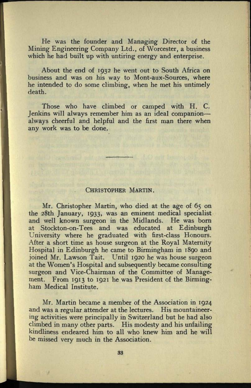He was the founder and Managing Director of the Mining Engineering Company Ltd., of Worcester, a business which he had built up with untiring energy and enterprise.

About the end of 1932 he went out to South Africa on business and was on his way to Mont-aux-Sources, where he intended to do some climbing, when he met his untimely death.

Those who have climbed or camped with H. C. Jenkins will always remember him as an ideal companion always cheerful and helpful and the first man there when any work was to be done.

### CHRISTOPHER MARTIN.

Mr. Christopher Martin, who died at the age of 65 on the 28th January, 1933, was an eminent medical specialist and well known surgeon in the Midlands. He was born at Stockton-on-Tees and was educated at Edinburgh University where he graduated with first-class Honours. After a short time as house surgeon at the Royal Maternity Hospital in Edinburgh he came to Birmingham in 1890 and joined Mr. Lawson Tait. Until 1920 he was house surgeon at the Women's Hospital and subsequently became consulting surgeon and Vice-Chairman of the Committee of Management. From 1913 to 1921 he was President of the Birmingham Medical Institute.

Mr. Martin became a member of the Association in 1924 and was a regular attender at the lectures. His mountaineering activities were principally in Switzerland but he had also climbed in many other parts. His modesty and his unfailing kindliness endeared him to all who knew him and he will be missed very much in the Association.